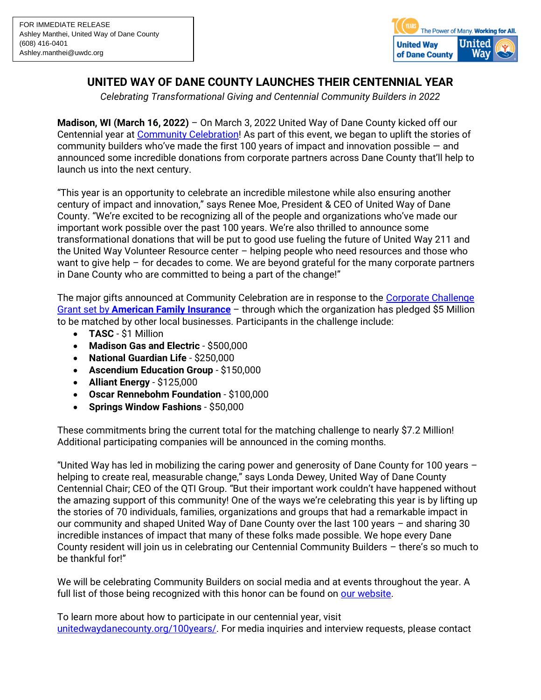

## **UNITED WAY OF DANE COUNTY LAUNCHES THEIR CENTENNIAL YEAR**

*Celebrating Transformational Giving and Centennial Community Builders in 2022* 

**Madison, WI (March 16, 2022)** – On March 3, 2022 United Way of Dane County kicked off our Centennial year at [Community Celebration!](https://www.unitedwaydanecounty.org/100years/) As part of this event, we began to uplift the stories of community builders who've made the first 100 years of impact and innovation possible — and announced some incredible donations from corporate partners across Dane County that'll help to launch us into the next century.

"This year is an opportunity to celebrate an incredible milestone while also ensuring another century of impact and innovation," says Renee Moe, President & CEO of United Way of Dane County. "We're excited to be recognizing all of the people and organizations who've made our important work possible over the past 100 years. We're also thrilled to announce some transformational donations that will be put to good use fueling the future of United Way 211 and the United Way Volunteer Resource center – helping people who need resources and those who want to give help  $-$  for decades to come. We are beyond grateful for the many corporate partners in Dane County who are committed to being a part of the change!"

The major gifts announced at Community Celebration are in response to the [Corporate Challenge](https://www.unitedwaydanecounty.org/wp-content/uploads/Press-Release_American-Family-Insurance-Donates-5-Million-to-United-Way-of-Dane-County.pdf)  Grant set by **[American Family Insurance](https://www.unitedwaydanecounty.org/wp-content/uploads/Press-Release_American-Family-Insurance-Donates-5-Million-to-United-Way-of-Dane-County.pdf)** – through which the organization has pledged \$5 Million to be matched by other local businesses. Participants in the challenge include:

- **TASC**  \$1 Million
- **Madison Gas and Electric** \$500,000
- **National Guardian Life** \$250,000
- **Ascendium Education Group** \$150,000
- **Alliant Energy** \$125,000
- **Oscar Rennebohm Foundation** \$100,000
- **Springs Window Fashions** \$50,000

These commitments bring the current total for the matching challenge to nearly \$7.2 Million! Additional participating companies will be announced in the coming months.

"United Way has led in mobilizing the caring power and generosity of Dane County for 100 years – helping to create real, measurable change," says Londa Dewey, United Way of Dane County Centennial Chair; CEO of the QTI Group. "But their important work couldn't have happened without the amazing support of this community! One of the ways we're celebrating this year is by lifting up the stories of 70 individuals, families, organizations and groups that had a remarkable impact in our community and shaped United Way of Dane County over the last 100 years – and sharing 30 incredible instances of impact that many of these folks made possible. We hope every Dane County resident will join us in celebrating our Centennial Community Builders – there's so much to be thankful for!"

We will be celebrating Community Builders on social media and at events throughout the year. A full list of those being recognized with this honor can be found on [our website.](https://www.unitedwaydanecounty.org/wp-content/uploads/Centennial-Community-Builders.pdf)

To learn more about how to participate in our centennial year, visit [unitedwaydanecounty.org/100years/.](http://www.unitedwaydanecounty.org/100years/) For media inquiries and interview requests, please contact